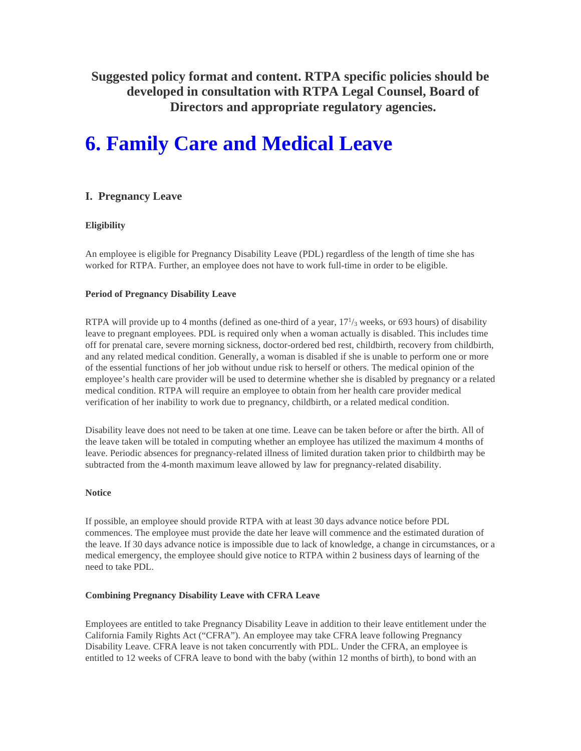**Suggested policy format and content. RTPA specific policies should be developed in consultation with RTPA Legal Counsel, Board of Directors and appropriate regulatory agencies.** 

# **6. Family Care and Medical Leave**

# **I. Pregnancy Leave**

## **Eligibility**

An employee is eligible for Pregnancy Disability Leave (PDL) regardless of the length of time she has worked for RTPA. Further, an employee does not have to work full-time in order to be eligible.

## **Period of Pregnancy Disability Leave**

RTPA will provide up to 4 months (defined as one-third of a year,  $17<sup>1</sup>/3$  weeks, or 693 hours) of disability leave to pregnant employees. PDL is required only when a woman actually is disabled. This includes time off for prenatal care, severe morning sickness, doctor-ordered bed rest, childbirth, recovery from childbirth, and any related medical condition. Generally, a woman is disabled if she is unable to perform one or more of the essential functions of her job without undue risk to herself or others. The medical opinion of the employee's health care provider will be used to determine whether she is disabled by pregnancy or a related medical condition. RTPA will require an employee to obtain from her health care provider medical verification of her inability to work due to pregnancy, childbirth, or a related medical condition.

Disability leave does not need to be taken at one time. Leave can be taken before or after the birth. All of the leave taken will be totaled in computing whether an employee has utilized the maximum 4 months of leave. Periodic absences for pregnancy-related illness of limited duration taken prior to childbirth may be subtracted from the 4-month maximum leave allowed by law for pregnancy-related disability.

## **Notice**

If possible, an employee should provide RTPA with at least 30 days advance notice before PDL commences. The employee must provide the date her leave will commence and the estimated duration of the leave. If 30 days advance notice is impossible due to lack of knowledge, a change in circumstances, or a medical emergency, the employee should give notice to RTPA within 2 business days of learning of the need to take PDL.

## **Combining Pregnancy Disability Leave with CFRA Leave**

Employees are entitled to take Pregnancy Disability Leave in addition to their leave entitlement under the California Family Rights Act ("CFRA"). An employee may take CFRA leave following Pregnancy Disability Leave. CFRA leave is not taken concurrently with PDL. Under the CFRA, an employee is entitled to 12 weeks of CFRA leave to bond with the baby (within 12 months of birth), to bond with an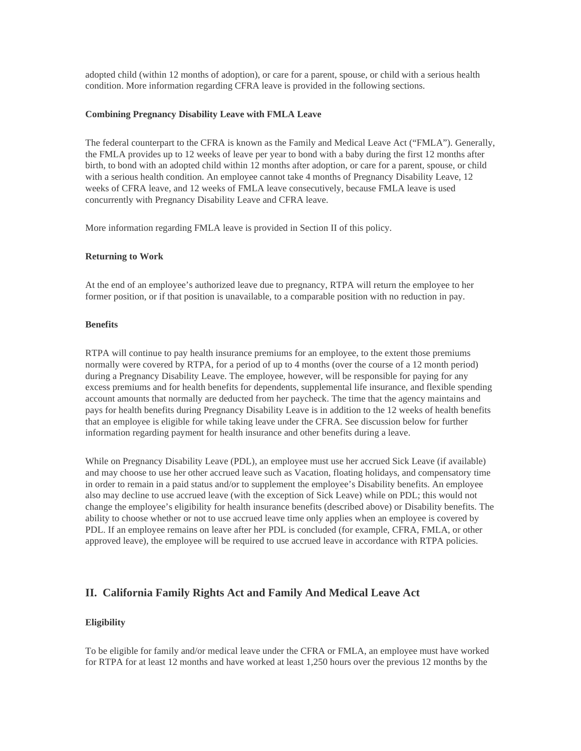adopted child (within 12 months of adoption), or care for a parent, spouse, or child with a serious health condition. More information regarding CFRA leave is provided in the following sections.

#### **Combining Pregnancy Disability Leave with FMLA Leave**

The federal counterpart to the CFRA is known as the Family and Medical Leave Act ("FMLA"). Generally, the FMLA provides up to 12 weeks of leave per year to bond with a baby during the first 12 months after birth, to bond with an adopted child within 12 months after adoption, or care for a parent, spouse, or child with a serious health condition. An employee cannot take 4 months of Pregnancy Disability Leave, 12 weeks of CFRA leave, and 12 weeks of FMLA leave consecutively, because FMLA leave is used concurrently with Pregnancy Disability Leave and CFRA leave.

More information regarding FMLA leave is provided in Section II of this policy.

#### **Returning to Work**

At the end of an employee's authorized leave due to pregnancy, RTPA will return the employee to her former position, or if that position is unavailable, to a comparable position with no reduction in pay.

#### **Benefits**

RTPA will continue to pay health insurance premiums for an employee, to the extent those premiums normally were covered by RTPA, for a period of up to 4 months (over the course of a 12 month period) during a Pregnancy Disability Leave. The employee, however, will be responsible for paying for any excess premiums and for health benefits for dependents, supplemental life insurance, and flexible spending account amounts that normally are deducted from her paycheck. The time that the agency maintains and pays for health benefits during Pregnancy Disability Leave is in addition to the 12 weeks of health benefits that an employee is eligible for while taking leave under the CFRA. See discussion below for further information regarding payment for health insurance and other benefits during a leave.

While on Pregnancy Disability Leave (PDL), an employee must use her accrued Sick Leave (if available) and may choose to use her other accrued leave such as Vacation, floating holidays, and compensatory time in order to remain in a paid status and/or to supplement the employee's Disability benefits. An employee also may decline to use accrued leave (with the exception of Sick Leave) while on PDL; this would not change the employee's eligibility for health insurance benefits (described above) or Disability benefits. The ability to choose whether or not to use accrued leave time only applies when an employee is covered by PDL. If an employee remains on leave after her PDL is concluded (for example, CFRA, FMLA, or other approved leave), the employee will be required to use accrued leave in accordance with RTPA policies.

## **II. California Family Rights Act and Family And Medical Leave Act**

#### **Eligibility**

To be eligible for family and/or medical leave under the CFRA or FMLA, an employee must have worked for RTPA for at least 12 months and have worked at least 1,250 hours over the previous 12 months by the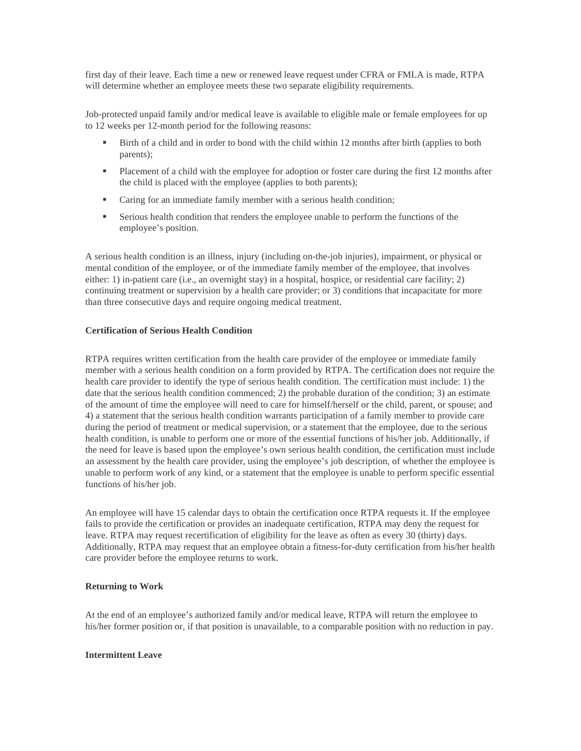first day of their leave. Each time a new or renewed leave request under CFRA or FMLA is made, RTPA will determine whether an employee meets these two separate eligibility requirements.

Job-protected unpaid family and/or medical leave is available to eligible male or female employees for up to 12 weeks per 12-month period for the following reasons:

- Birth of a child and in order to bond with the child within 12 months after birth (applies to both parents);
- **Placement of a child with the employee for adoption or foster care during the first 12 months after** the child is placed with the employee (applies to both parents);
- Caring for an immediate family member with a serious health condition;
- Serious health condition that renders the employee unable to perform the functions of the employee's position.

A serious health condition is an illness, injury (including on-the-job injuries), impairment, or physical or mental condition of the employee, or of the immediate family member of the employee, that involves either: 1) in-patient care (i.e., an overnight stay) in a hospital, hospice, or residential care facility; 2) continuing treatment or supervision by a health care provider; or 3) conditions that incapacitate for more than three consecutive days and require ongoing medical treatment.

#### **Certification of Serious Health Condition**

RTPA requires written certification from the health care provider of the employee or immediate family member with a serious health condition on a form provided by RTPA. The certification does not require the health care provider to identify the type of serious health condition. The certification must include: 1) the date that the serious health condition commenced; 2) the probable duration of the condition; 3) an estimate of the amount of time the employee will need to care for himself/herself or the child, parent, or spouse; and 4) a statement that the serious health condition warrants participation of a family member to provide care during the period of treatment or medical supervision, or a statement that the employee, due to the serious health condition, is unable to perform one or more of the essential functions of his/her job. Additionally, if the need for leave is based upon the employee's own serious health condition, the certification must include an assessment by the health care provider, using the employee's job description, of whether the employee is unable to perform work of any kind, or a statement that the employee is unable to perform specific essential functions of his/her job.

An employee will have 15 calendar days to obtain the certification once RTPA requests it. If the employee fails to provide the certification or provides an inadequate certification, RTPA may deny the request for leave. RTPA may request recertification of eligibility for the leave as often as every 30 (thirty) days. Additionally, RTPA may request that an employee obtain a fitness-for-duty certification from his/her health care provider before the employee returns to work.

#### **Returning to Work**

At the end of an employee's authorized family and/or medical leave, RTPA will return the employee to his/her former position or, if that position is unavailable, to a comparable position with no reduction in pay.

#### **Intermittent Leave**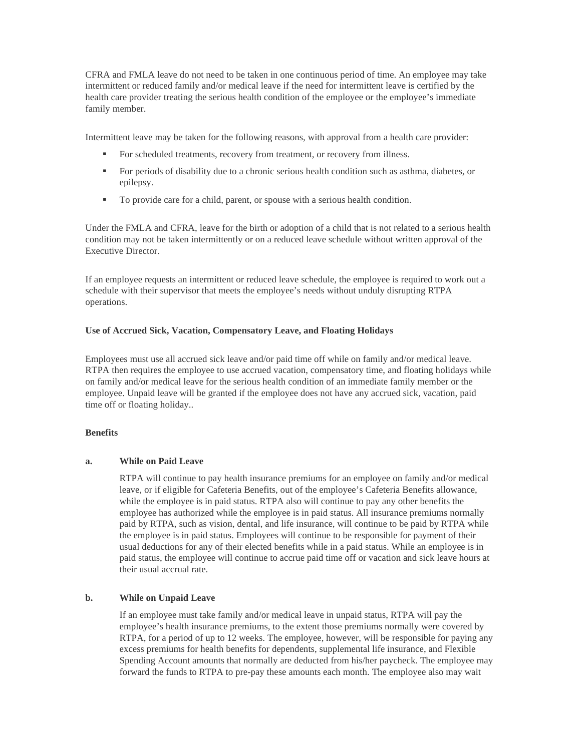CFRA and FMLA leave do not need to be taken in one continuous period of time. An employee may take intermittent or reduced family and/or medical leave if the need for intermittent leave is certified by the health care provider treating the serious health condition of the employee or the employee's immediate family member.

Intermittent leave may be taken for the following reasons, with approval from a health care provider:

- For scheduled treatments, recovery from treatment, or recovery from illness.
- For periods of disability due to a chronic serious health condition such as asthma, diabetes, or epilepsy.
- To provide care for a child, parent, or spouse with a serious health condition.

Under the FMLA and CFRA, leave for the birth or adoption of a child that is not related to a serious health condition may not be taken intermittently or on a reduced leave schedule without written approval of the Executive Director.

If an employee requests an intermittent or reduced leave schedule, the employee is required to work out a schedule with their supervisor that meets the employee's needs without unduly disrupting RTPA operations.

#### **Use of Accrued Sick, Vacation, Compensatory Leave, and Floating Holidays**

Employees must use all accrued sick leave and/or paid time off while on family and/or medical leave. RTPA then requires the employee to use accrued vacation, compensatory time, and floating holidays while on family and/or medical leave for the serious health condition of an immediate family member or the employee. Unpaid leave will be granted if the employee does not have any accrued sick, vacation, paid time off or floating holiday..

## **Benefits**

## **a. While on Paid Leave**

RTPA will continue to pay health insurance premiums for an employee on family and/or medical leave, or if eligible for Cafeteria Benefits, out of the employee's Cafeteria Benefits allowance, while the employee is in paid status. RTPA also will continue to pay any other benefits the employee has authorized while the employee is in paid status. All insurance premiums normally paid by RTPA, such as vision, dental, and life insurance, will continue to be paid by RTPA while the employee is in paid status. Employees will continue to be responsible for payment of their usual deductions for any of their elected benefits while in a paid status. While an employee is in paid status, the employee will continue to accrue paid time off or vacation and sick leave hours at their usual accrual rate.

## **b. While on Unpaid Leave**

If an employee must take family and/or medical leave in unpaid status, RTPA will pay the employee's health insurance premiums, to the extent those premiums normally were covered by RTPA, for a period of up to 12 weeks. The employee, however, will be responsible for paying any excess premiums for health benefits for dependents, supplemental life insurance, and Flexible Spending Account amounts that normally are deducted from his/her paycheck. The employee may forward the funds to RTPA to pre-pay these amounts each month. The employee also may wait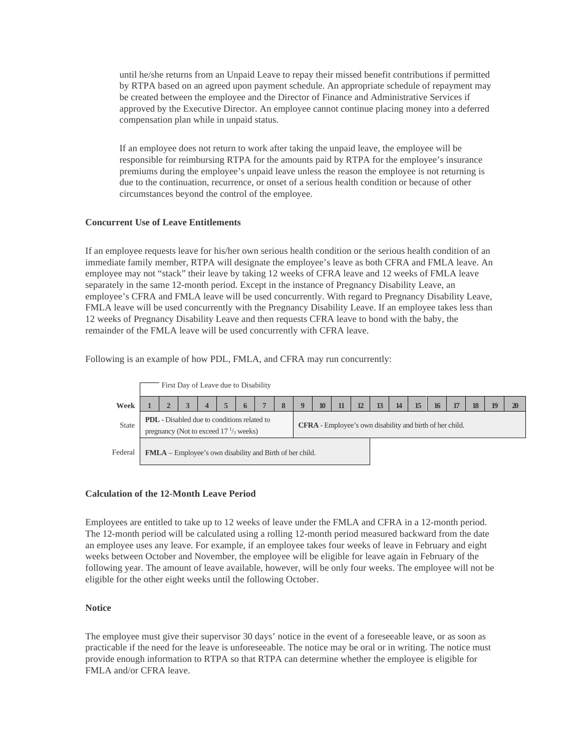until he/she returns from an Unpaid Leave to repay their missed benefit contributions if permitted by RTPA based on an agreed upon payment schedule. An appropriate schedule of repayment may be created between the employee and the Director of Finance and Administrative Services if approved by the Executive Director. An employee cannot continue placing money into a deferred compensation plan while in unpaid status.

If an employee does not return to work after taking the unpaid leave, the employee will be responsible for reimbursing RTPA for the amounts paid by RTPA for the employee's insurance premiums during the employee's unpaid leave unless the reason the employee is not returning is due to the continuation, recurrence, or onset of a serious health condition or because of other circumstances beyond the control of the employee.

## **Concurrent Use of Leave Entitlements**

If an employee requests leave for his/her own serious health condition or the serious health condition of an immediate family member, RTPA will designate the employee's leave as both CFRA and FMLA leave. An employee may not "stack" their leave by taking 12 weeks of CFRA leave and 12 weeks of FMLA leave separately in the same 12-month period. Except in the instance of Pregnancy Disability Leave, an employee's CFRA and FMLA leave will be used concurrently. With regard to Pregnancy Disability Leave, FMLA leave will be used concurrently with the Pregnancy Disability Leave. If an employee takes less than 12 weeks of Pregnancy Disability Leave and then requests CFRA leave to bond with the baby, the remainder of the FMLA leave will be used concurrently with CFRA leave.

Following is an example of how PDL, FMLA, and CFRA may run concurrently:



#### **Calculation of the 12-Month Leave Period**

Employees are entitled to take up to 12 weeks of leave under the FMLA and CFRA in a 12-month period. The 12-month period will be calculated using a rolling 12-month period measured backward from the date an employee uses any leave. For example, if an employee takes four weeks of leave in February and eight weeks between October and November, the employee will be eligible for leave again in February of the following year. The amount of leave available, however, will be only four weeks. The employee will not be eligible for the other eight weeks until the following October.

## **Notice**

The employee must give their supervisor 30 days' notice in the event of a foreseeable leave, or as soon as practicable if the need for the leave is unforeseeable. The notice may be oral or in writing. The notice must provide enough information to RTPA so that RTPA can determine whether the employee is eligible for FMLA and/or CFRA leave.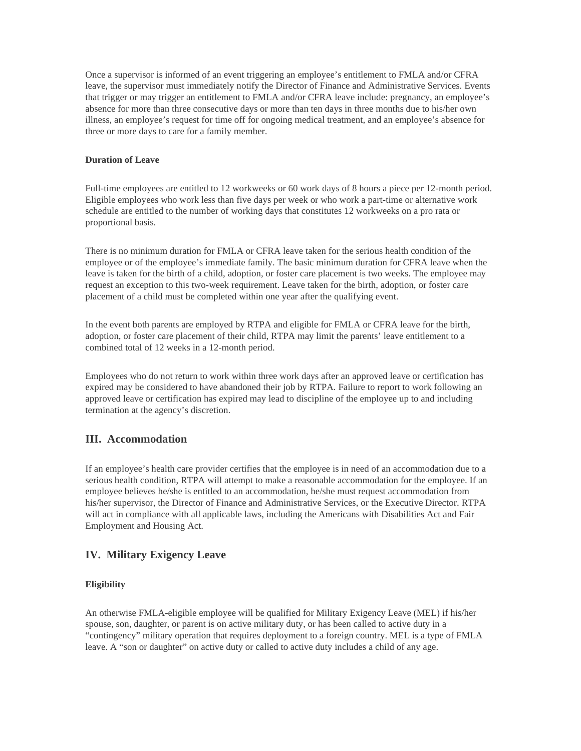Once a supervisor is informed of an event triggering an employee's entitlement to FMLA and/or CFRA leave, the supervisor must immediately notify the Director of Finance and Administrative Services. Events that trigger or may trigger an entitlement to FMLA and/or CFRA leave include: pregnancy, an employee's absence for more than three consecutive days or more than ten days in three months due to his/her own illness, an employee's request for time off for ongoing medical treatment, and an employee's absence for three or more days to care for a family member.

## **Duration of Leave**

Full-time employees are entitled to 12 workweeks or 60 work days of 8 hours a piece per 12-month period. Eligible employees who work less than five days per week or who work a part-time or alternative work schedule are entitled to the number of working days that constitutes 12 workweeks on a pro rata or proportional basis.

There is no minimum duration for FMLA or CFRA leave taken for the serious health condition of the employee or of the employee's immediate family. The basic minimum duration for CFRA leave when the leave is taken for the birth of a child, adoption, or foster care placement is two weeks. The employee may request an exception to this two-week requirement. Leave taken for the birth, adoption, or foster care placement of a child must be completed within one year after the qualifying event.

In the event both parents are employed by RTPA and eligible for FMLA or CFRA leave for the birth, adoption, or foster care placement of their child, RTPA may limit the parents' leave entitlement to a combined total of 12 weeks in a 12-month period.

Employees who do not return to work within three work days after an approved leave or certification has expired may be considered to have abandoned their job by RTPA. Failure to report to work following an approved leave or certification has expired may lead to discipline of the employee up to and including termination at the agency's discretion.

# **III. Accommodation**

If an employee's health care provider certifies that the employee is in need of an accommodation due to a serious health condition, RTPA will attempt to make a reasonable accommodation for the employee. If an employee believes he/she is entitled to an accommodation, he/she must request accommodation from his/her supervisor, the Director of Finance and Administrative Services, or the Executive Director. RTPA will act in compliance with all applicable laws, including the Americans with Disabilities Act and Fair Employment and Housing Act.

# **IV. Military Exigency Leave**

## **Eligibility**

An otherwise FMLA-eligible employee will be qualified for Military Exigency Leave (MEL) if his/her spouse, son, daughter, or parent is on active military duty, or has been called to active duty in a "contingency" military operation that requires deployment to a foreign country. MEL is a type of FMLA leave. A "son or daughter" on active duty or called to active duty includes a child of any age.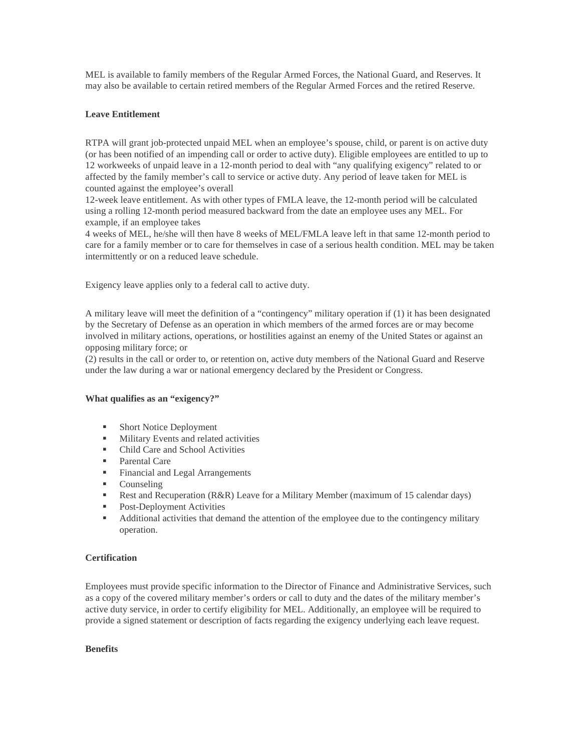MEL is available to family members of the Regular Armed Forces, the National Guard, and Reserves. It may also be available to certain retired members of the Regular Armed Forces and the retired Reserve.

## **Leave Entitlement**

RTPA will grant job-protected unpaid MEL when an employee's spouse, child, or parent is on active duty (or has been notified of an impending call or order to active duty). Eligible employees are entitled to up to 12 workweeks of unpaid leave in a 12-month period to deal with "any qualifying exigency" related to or affected by the family member's call to service or active duty. Any period of leave taken for MEL is counted against the employee's overall

12-week leave entitlement. As with other types of FMLA leave, the 12-month period will be calculated using a rolling 12-month period measured backward from the date an employee uses any MEL. For example, if an employee takes

4 weeks of MEL, he/she will then have 8 weeks of MEL/FMLA leave left in that same 12-month period to care for a family member or to care for themselves in case of a serious health condition. MEL may be taken intermittently or on a reduced leave schedule.

Exigency leave applies only to a federal call to active duty.

A military leave will meet the definition of a "contingency" military operation if (1) it has been designated by the Secretary of Defense as an operation in which members of the armed forces are or may become involved in military actions, operations, or hostilities against an enemy of the United States or against an opposing military force; or

(2) results in the call or order to, or retention on, active duty members of the National Guard and Reserve under the law during a war or national emergency declared by the President or Congress.

#### **What qualifies as an "exigency?"**

- **Short Notice Deployment**
- **Military Events and related activities**
- Child Care and School Activities
- **Parental Care**
- Financial and Legal Arrangements
- Counseling
- **Rest and Recuperation (R&R) Leave for a Military Member (maximum of 15 calendar days)**
- Post-Deployment Activities
- Additional activities that demand the attention of the employee due to the contingency military operation.

## **Certification**

Employees must provide specific information to the Director of Finance and Administrative Services, such as a copy of the covered military member's orders or call to duty and the dates of the military member's active duty service, in order to certify eligibility for MEL. Additionally, an employee will be required to provide a signed statement or description of facts regarding the exigency underlying each leave request.

#### **Benefits**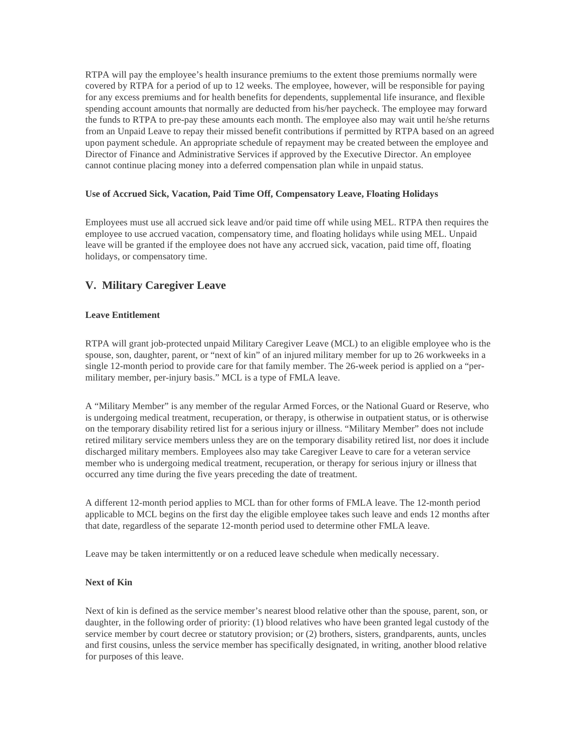RTPA will pay the employee's health insurance premiums to the extent those premiums normally were covered by RTPA for a period of up to 12 weeks. The employee, however, will be responsible for paying for any excess premiums and for health benefits for dependents, supplemental life insurance, and flexible spending account amounts that normally are deducted from his/her paycheck. The employee may forward the funds to RTPA to pre-pay these amounts each month. The employee also may wait until he/she returns from an Unpaid Leave to repay their missed benefit contributions if permitted by RTPA based on an agreed upon payment schedule. An appropriate schedule of repayment may be created between the employee and Director of Finance and Administrative Services if approved by the Executive Director. An employee cannot continue placing money into a deferred compensation plan while in unpaid status.

### **Use of Accrued Sick, Vacation, Paid Time Off, Compensatory Leave, Floating Holidays**

Employees must use all accrued sick leave and/or paid time off while using MEL. RTPA then requires the employee to use accrued vacation, compensatory time, and floating holidays while using MEL. Unpaid leave will be granted if the employee does not have any accrued sick, vacation, paid time off, floating holidays, or compensatory time.

# **V. Military Caregiver Leave**

## **Leave Entitlement**

RTPA will grant job-protected unpaid Military Caregiver Leave (MCL) to an eligible employee who is the spouse, son, daughter, parent, or "next of kin" of an injured military member for up to 26 workweeks in a single 12-month period to provide care for that family member. The 26-week period is applied on a "permilitary member, per-injury basis." MCL is a type of FMLA leave.

A "Military Member" is any member of the regular Armed Forces, or the National Guard or Reserve, who is undergoing medical treatment, recuperation, or therapy, is otherwise in outpatient status, or is otherwise on the temporary disability retired list for a serious injury or illness. "Military Member" does not include retired military service members unless they are on the temporary disability retired list, nor does it include discharged military members. Employees also may take Caregiver Leave to care for a veteran service member who is undergoing medical treatment, recuperation, or therapy for serious injury or illness that occurred any time during the five years preceding the date of treatment.

A different 12-month period applies to MCL than for other forms of FMLA leave. The 12-month period applicable to MCL begins on the first day the eligible employee takes such leave and ends 12 months after that date, regardless of the separate 12-month period used to determine other FMLA leave.

Leave may be taken intermittently or on a reduced leave schedule when medically necessary.

#### **Next of Kin**

Next of kin is defined as the service member's nearest blood relative other than the spouse, parent, son, or daughter, in the following order of priority: (1) blood relatives who have been granted legal custody of the service member by court decree or statutory provision; or (2) brothers, sisters, grandparents, aunts, uncles and first cousins, unless the service member has specifically designated, in writing, another blood relative for purposes of this leave.